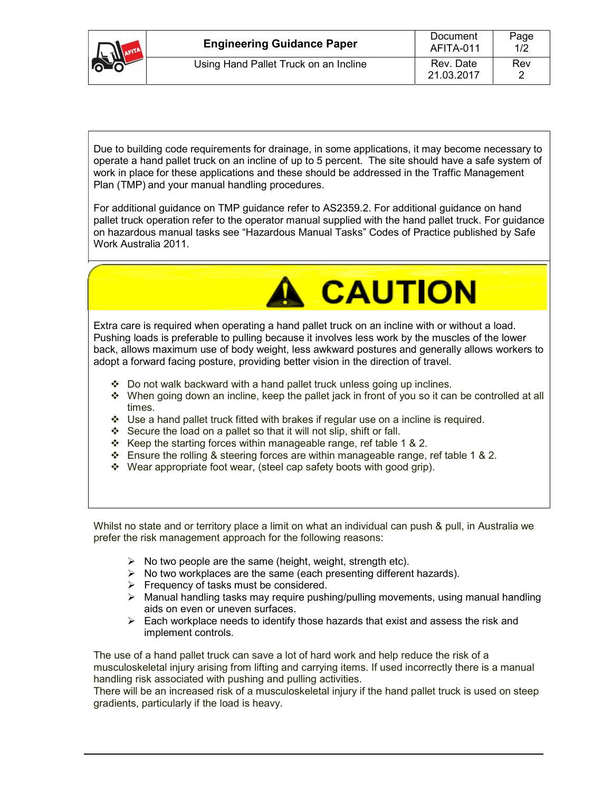| <b>SALL</b> | <b>Engineering Guidance Paper</b>     | Document<br>AFITA-011   | Page<br>1/2 |
|-------------|---------------------------------------|-------------------------|-------------|
|             | Using Hand Pallet Truck on an Incline | Rev. Date<br>21.03.2017 | Rev         |
|             |                                       |                         |             |

Due to building code requirements for drainage, in some applications, it may become necessary to operate a hand pallet truck on an incline of up to 5 percent. The site should have a safe system of work in place for these applications and these should be addressed in the Traffic Management Plan (TMP) and your manual handling procedures.

For additional guidance on TMP guidance refer to AS2359.2. For additional guidance on hand pallet truck operation refer to the operator manual supplied with the hand pallet truck. For guidance on hazardous manual tasks see "Hazardous Manual Tasks" Codes of Practice published by Safe Work Australia 2011.



Extra care is required when operating a hand pallet truck on an incline with or without a load. Pushing loads is preferable to pulling because it involves less work by the muscles of the lower back, allows maximum use of body weight, less awkward postures and generally allows workers to adopt a forward facing posture, providing better vision in the direction of travel.

- $\cdot$  Do not walk backward with a hand pallet truck unless going up inclines.
- \* When going down an incline, keep the pallet jack in front of you so it can be controlled at all times.
- $\div$  Use a hand pallet truck fitted with brakes if regular use on a incline is required.
- $\div$  Secure the load on a pallet so that it will not slip, shift or fall.
- $\div$  Keep the starting forces within manageable range, ref table 1 & 2.
- Ensure the rolling & steering forces are within manageable range, ref table 1 & 2.
- Wear appropriate foot wear, (steel cap safety boots with good grip).

Whilst no state and or territory place a limit on what an individual can push & pull, in Australia we prefer the risk management approach for the following reasons:

- $\triangleright$  No two people are the same (height, weight, strength etc).
- $\triangleright$  No two workplaces are the same (each presenting different hazards).
- $\triangleright$  Frequency of tasks must be considered.
- $\triangleright$  Manual handling tasks may require pushing/pulling movements, using manual handling aids on even or uneven surfaces.
- $\triangleright$  Each workplace needs to identify those hazards that exist and assess the risk and implement controls.

The use of a hand pallet truck can save a lot of hard work and help reduce the risk of a musculoskeletal injury arising from lifting and carrying items. If used incorrectly there is a manual handling risk associated with pushing and pulling activities.

There will be an increased risk of a musculoskeletal injury if the hand pallet truck is used on steep gradients, particularly if the load is heavy.